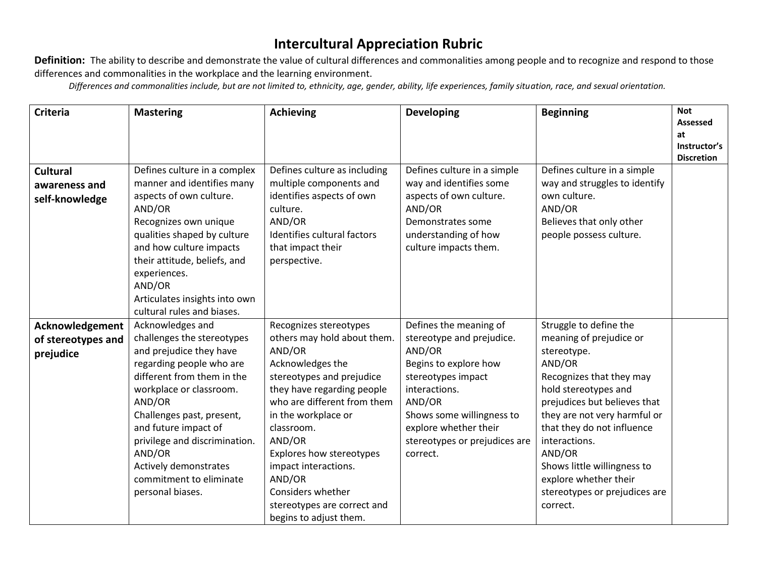## **Intercultural Appreciation Rubric**

Definition: The ability to describe and demonstrate the value of cultural differences and commonalities among people and to recognize and respond to those differences and commonalities in the workplace and the learning environment.

*Differences and commonalities include, but are not limited to, ethnicity, age, gender, ability, life experiences, family situation, race, and sexual orientation.*

| <b>Criteria</b>                                    | <b>Mastering</b>                                                                                                                                                                                                                                                                                            | <b>Achieving</b>                                                                                                                                                               | <b>Developing</b>                                                                                                                                                 | <b>Beginning</b>                                                                                                                              | <b>Not</b><br>Assessed                  |
|----------------------------------------------------|-------------------------------------------------------------------------------------------------------------------------------------------------------------------------------------------------------------------------------------------------------------------------------------------------------------|--------------------------------------------------------------------------------------------------------------------------------------------------------------------------------|-------------------------------------------------------------------------------------------------------------------------------------------------------------------|-----------------------------------------------------------------------------------------------------------------------------------------------|-----------------------------------------|
|                                                    |                                                                                                                                                                                                                                                                                                             |                                                                                                                                                                                |                                                                                                                                                                   |                                                                                                                                               | at<br>Instructor's<br><b>Discretion</b> |
| <b>Cultural</b><br>awareness and<br>self-knowledge | Defines culture in a complex<br>manner and identifies many<br>aspects of own culture.<br>AND/OR<br>Recognizes own unique<br>qualities shaped by culture<br>and how culture impacts<br>their attitude, beliefs, and<br>experiences.<br>AND/OR<br>Articulates insights into own<br>cultural rules and biases. | Defines culture as including<br>multiple components and<br>identifies aspects of own<br>culture.<br>AND/OR<br>Identifies cultural factors<br>that impact their<br>perspective. | Defines culture in a simple<br>way and identifies some<br>aspects of own culture.<br>AND/OR<br>Demonstrates some<br>understanding of how<br>culture impacts them. | Defines culture in a simple<br>way and struggles to identify<br>own culture.<br>AND/OR<br>Believes that only other<br>people possess culture. |                                         |
| Acknowledgement                                    | Acknowledges and                                                                                                                                                                                                                                                                                            | Recognizes stereotypes                                                                                                                                                         | Defines the meaning of                                                                                                                                            | Struggle to define the                                                                                                                        |                                         |
| of stereotypes and                                 | challenges the stereotypes                                                                                                                                                                                                                                                                                  | others may hold about them.                                                                                                                                                    | stereotype and prejudice.                                                                                                                                         | meaning of prejudice or                                                                                                                       |                                         |
| prejudice                                          | and prejudice they have                                                                                                                                                                                                                                                                                     | AND/OR                                                                                                                                                                         | AND/OR                                                                                                                                                            | stereotype.                                                                                                                                   |                                         |
|                                                    | regarding people who are                                                                                                                                                                                                                                                                                    | Acknowledges the                                                                                                                                                               | Begins to explore how                                                                                                                                             | AND/OR                                                                                                                                        |                                         |
|                                                    | different from them in the                                                                                                                                                                                                                                                                                  | stereotypes and prejudice                                                                                                                                                      | stereotypes impact                                                                                                                                                | Recognizes that they may                                                                                                                      |                                         |
|                                                    | workplace or classroom.                                                                                                                                                                                                                                                                                     | they have regarding people                                                                                                                                                     | interactions.                                                                                                                                                     | hold stereotypes and                                                                                                                          |                                         |
|                                                    | AND/OR                                                                                                                                                                                                                                                                                                      | who are different from them                                                                                                                                                    | AND/OR                                                                                                                                                            | prejudices but believes that                                                                                                                  |                                         |
|                                                    | Challenges past, present,<br>and future impact of                                                                                                                                                                                                                                                           | in the workplace or<br>classroom.                                                                                                                                              | Shows some willingness to<br>explore whether their                                                                                                                | they are not very harmful or<br>that they do not influence                                                                                    |                                         |
|                                                    | privilege and discrimination.                                                                                                                                                                                                                                                                               | AND/OR                                                                                                                                                                         | stereotypes or prejudices are                                                                                                                                     | interactions.                                                                                                                                 |                                         |
|                                                    | AND/OR                                                                                                                                                                                                                                                                                                      | Explores how stereotypes                                                                                                                                                       | correct.                                                                                                                                                          | AND/OR                                                                                                                                        |                                         |
|                                                    | Actively demonstrates                                                                                                                                                                                                                                                                                       | impact interactions.                                                                                                                                                           |                                                                                                                                                                   | Shows little willingness to                                                                                                                   |                                         |
|                                                    | commitment to eliminate                                                                                                                                                                                                                                                                                     | AND/OR                                                                                                                                                                         |                                                                                                                                                                   | explore whether their                                                                                                                         |                                         |
|                                                    | personal biases.                                                                                                                                                                                                                                                                                            | Considers whether                                                                                                                                                              |                                                                                                                                                                   | stereotypes or prejudices are                                                                                                                 |                                         |
|                                                    |                                                                                                                                                                                                                                                                                                             | stereotypes are correct and                                                                                                                                                    |                                                                                                                                                                   | correct.                                                                                                                                      |                                         |
|                                                    |                                                                                                                                                                                                                                                                                                             | begins to adjust them.                                                                                                                                                         |                                                                                                                                                                   |                                                                                                                                               |                                         |